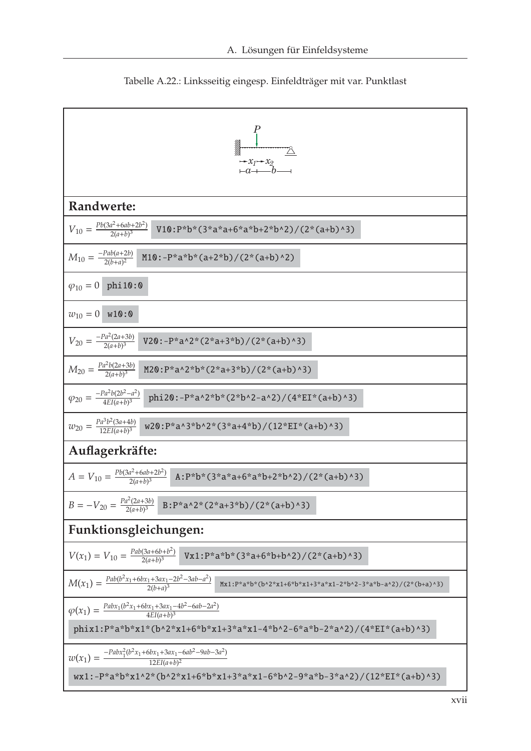

Tabelle A.22.: Linksseitig eingesp. Einfeldträger mit var. Punktlast